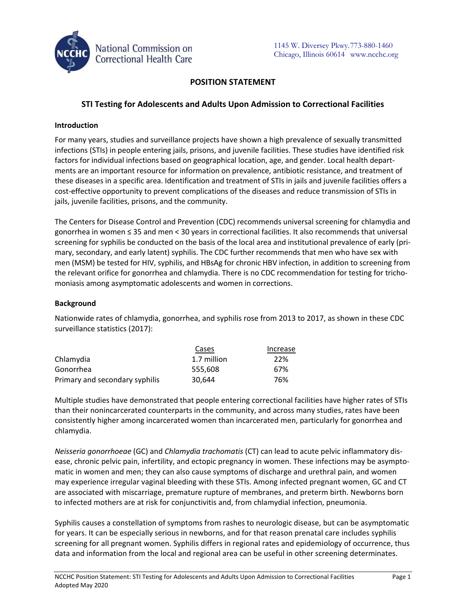

# **POSITION STATEMENT**

### **STI Testing for Adolescents and Adults Upon Admission to Correctional Facilities**

#### **Introduction**

For many years, studies and surveillance projects have shown a high prevalence of sexually transmitted infections (STIs) in people entering jails, prisons, and juvenile facilities. These studies have identified risk factors for individual infections based on geographical location, age, and gender. Local health departments are an important resource for information on prevalence, antibiotic resistance, and treatment of these diseases in a specific area. Identification and treatment of STIs in jails and juvenile facilities offers a cost-effective opportunity to prevent complications of the diseases and reduce transmission of STIs in jails, juvenile facilities, prisons, and the community.

The Centers for Disease Control and Prevention (CDC) recommends universal screening for chlamydia and gonorrhea in women ≤ 35 and men < 30 years in correctional facilities. It also recommends that universal screening for syphilis be conducted on the basis of the local area and institutional prevalence of early (primary, secondary, and early latent) syphilis. The CDC further recommends that men who have sex with men (MSM) be tested for HIV, syphilis, and HBsAg for chronic HBV infection, in addition to screening from the relevant orifice for gonorrhea and chlamydia. There is no CDC recommendation for testing for trichomoniasis among asymptomatic adolescents and women in corrections.

#### **Background**

Nationwide rates of chlamydia, gonorrhea, and syphilis rose from 2013 to 2017, as shown in these CDC surveillance statistics (2017):

|                                | Cases       | Increase |
|--------------------------------|-------------|----------|
| Chlamydia                      | 1.7 million | 22%      |
| Gonorrhea                      | 555.608     | 67%      |
| Primary and secondary syphilis | 30.644      | 76%      |

Multiple studies have demonstrated that people entering correctional facilities have higher rates of STIs than their nonincarcerated counterparts in the community, and across many studies, rates have been consistently higher among incarcerated women than incarcerated men, particularly for gonorrhea and chlamydia.

*Neisseria gonorrhoeae* (GC) and *Chlamydia trachomatis* (CT) can lead to acute pelvic inflammatory disease, chronic pelvic pain, infertility, and ectopic pregnancy in women. These infections may be asymptomatic in women and men; they can also cause symptoms of discharge and urethral pain, and women may experience irregular vaginal bleeding with these STIs. Among infected pregnant women, GC and CT are associated with miscarriage, premature rupture of membranes, and preterm birth. Newborns born to infected mothers are at risk for conjunctivitis and, from chlamydial infection, pneumonia.

Syphilis causes a constellation of symptoms from rashes to neurologic disease, but can be asymptomatic for years. It can be especially serious in newborns, and for that reason prenatal care includes syphilis screening for all pregnant women. Syphilis differs in regional rates and epidemiology of occurrence, thus data and information from the local and regional area can be useful in other screening determinates.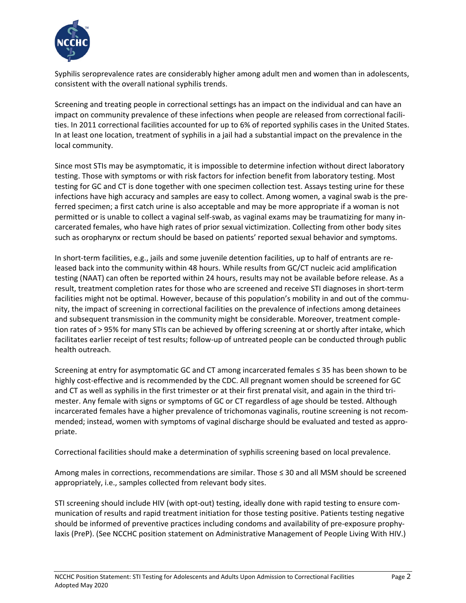

Syphilis seroprevalence rates are considerably higher among adult men and women than in adolescents, consistent with the overall national syphilis trends.

Screening and treating people in correctional settings has an impact on the individual and can have an impact on community prevalence of these infections when people are released from correctional facilities. In 2011 correctional facilities accounted for up to 6% of reported syphilis cases in the United States. In at least one location, treatment of syphilis in a jail had a substantial impact on the prevalence in the local community.

Since most STIs may be asymptomatic, it is impossible to determine infection without direct laboratory testing. Those with symptoms or with risk factors for infection benefit from laboratory testing. Most testing for GC and CT is done together with one specimen collection test. Assays testing urine for these infections have high accuracy and samples are easy to collect. Among women, a vaginal swab is the preferred specimen; a first catch urine is also acceptable and may be more appropriate if a woman is not permitted or is unable to collect a vaginal self-swab, as vaginal exams may be traumatizing for many incarcerated females, who have high rates of prior sexual victimization. Collecting from other body sites such as oropharynx or rectum should be based on patients' reported sexual behavior and symptoms.

In short-term facilities, e.g., jails and some juvenile detention facilities, up to half of entrants are released back into the community within 48 hours. While results from GC/CT nucleic acid amplification testing (NAAT) can often be reported within 24 hours, results may not be available before release. As a result, treatment completion rates for those who are screened and receive STI diagnoses in short-term facilities might not be optimal. However, because of this population's mobility in and out of the community, the impact of screening in correctional facilities on the prevalence of infections among detainees and subsequent transmission in the community might be considerable. Moreover, treatment completion rates of > 95% for many STIs can be achieved by offering screening at or shortly after intake, which facilitates earlier receipt of test results; follow-up of untreated people can be conducted through public health outreach.

Screening at entry for asymptomatic GC and CT among incarcerated females ≤ 35 has been shown to be highly cost-effective and is recommended by the CDC. All pregnant women should be screened for GC and CT as well as syphilis in the first trimester or at their first prenatal visit, and again in the third trimester. Any female with signs or symptoms of GC or CT regardless of age should be tested. Although incarcerated females have a higher prevalence of trichomonas vaginalis, routine screening is not recommended; instead, women with symptoms of vaginal discharge should be evaluated and tested as appropriate.

Correctional facilities should make a determination of syphilis screening based on local prevalence.

Among males in corrections, recommendations are similar. Those ≤ 30 and all MSM should be screened appropriately, i.e., samples collected from relevant body sites.

STI screening should include HIV (with opt-out) testing, ideally done with rapid testing to ensure communication of results and rapid treatment initiation for those testing positive. Patients testing negative should be informed of preventive practices including condoms and availability of pre-exposure prophylaxis (PreP). (See NCCHC position statement on Administrative Management of People Living With HIV.)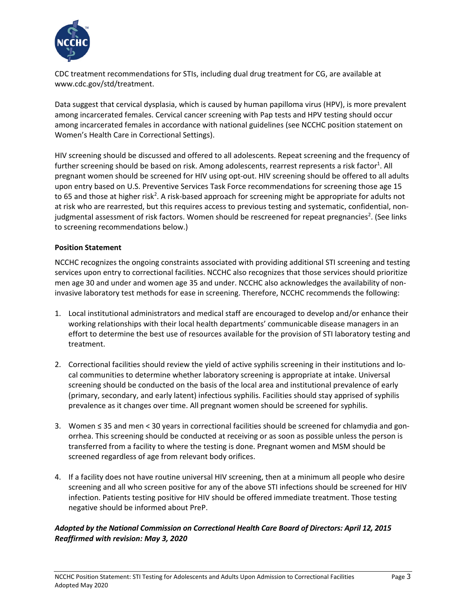

CDC treatment recommendations for STIs, including dual drug treatment for CG, are available at www.cdc.gov/std/treatment.

Data suggest that cervical dysplasia, which is caused by human papilloma virus (HPV), is more prevalent among incarcerated females. Cervical cancer screening with Pap tests and HPV testing should occur among incarcerated females in accordance with national guidelines (see NCCHC position statement on Women's Health Care in Correctional Settings).

HIV screening should be discussed and offered to all adolescents. Repeat screening and the frequency of further screening should be based on risk. Among adolescents, rearrest represents a risk factor<sup>1</sup>. All pregnant women should be screened for HIV using opt-out. HIV screening should be offered to all adults upon entry based on U.S. Preventive Services Task Force recommendations for screening those age 15 to 65 and those at higher risk<sup>2</sup>. A risk-based approach for screening might be appropriate for adults not at risk who are rearrested, but this requires access to previous testing and systematic, confidential, nonjudgmental assessment of risk factors. Women should be rescreened for repeat pregnancies<sup>2</sup>. (See links to screening recommendations below.)

#### **Position Statement**

NCCHC recognizes the ongoing constraints associated with providing additional STI screening and testing services upon entry to correctional facilities. NCCHC also recognizes that those services should prioritize men age 30 and under and women age 35 and under. NCCHC also acknowledges the availability of noninvasive laboratory test methods for ease in screening. Therefore, NCCHC recommends the following:

- 1. Local institutional administrators and medical staff are encouraged to develop and/or enhance their working relationships with their local health departments' communicable disease managers in an effort to determine the best use of resources available for the provision of STI laboratory testing and treatment.
- 2. Correctional facilities should review the yield of active syphilis screening in their institutions and local communities to determine whether laboratory screening is appropriate at intake. Universal screening should be conducted on the basis of the local area and institutional prevalence of early (primary, secondary, and early latent) infectious syphilis. Facilities should stay apprised of syphilis prevalence as it changes over time. All pregnant women should be screened for syphilis.
- 3. Women ≤ 35 and men < 30 years in correctional facilities should be screened for chlamydia and gonorrhea. This screening should be conducted at receiving or as soon as possible unless the person is transferred from a facility to where the testing is done. Pregnant women and MSM should be screened regardless of age from relevant body orifices.
- 4. If a facility does not have routine universal HIV screening, then at a minimum all people who desire screening and all who screen positive for any of the above STI infections should be screened for HIV infection. Patients testing positive for HIV should be offered immediate treatment. Those testing negative should be informed about PreP.

## *Adopted by the National Commission on Correctional Health Care Board of Directors: April 12, 2015 Reaffirmed with revision: May 3, 2020*